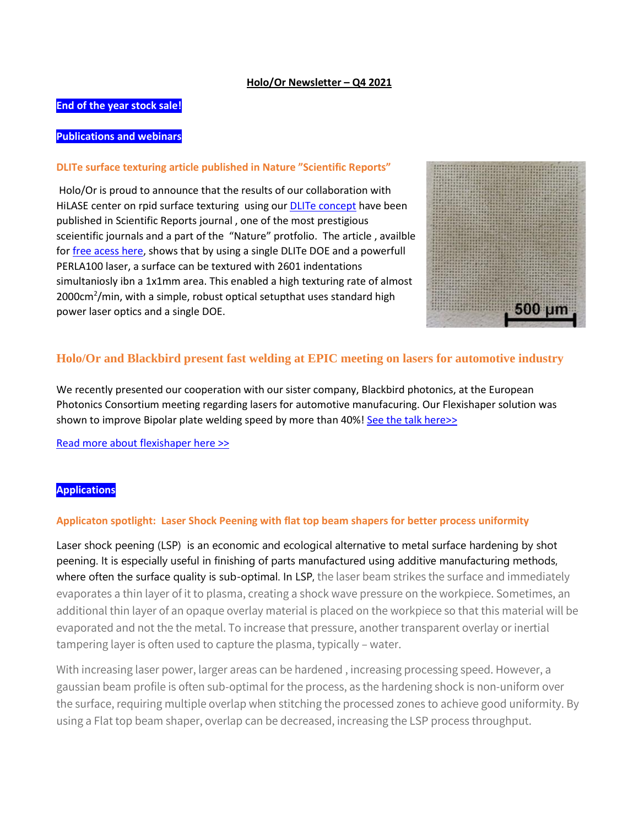#### **Holo/Or Newsletter – Q4 2021**

## **End of the year stock sale!**

# **Publications and webinars**

#### **DLITe surface texturing article published in Nature "Scientific Reports"**

Holo/Or is proud to announce that the results of our collaboration with HiLASE center on rpid surface texturing using our **DLITe concept** have been published in Scientific Reports journal , one of the most prestigious sceientific journals and a part of the "Nature" protfolio. The article , availble fo[r free acess here,](https://www.nature.com/articles/s41598-021-02290-3.epdf?sharing_token=Dbx1CIO1RuxF2DidUetxy9RgN0jAjWel9jnR3ZoTv0PnNm9Ux8NGPH74F4qwV4QIJRk_r6x1a3hg34g3q_dCIrGJ_jumtf1l31L6TLC0-IEo2N1Md8cSoAtQRg1NqjqS7MAHhBE2mgctPyssX-3c_qvM_gDF7z_URGIbQ3LyIXw%3D) shows that by using a single DLITe DOE and a powerfull PERLA100 laser, a surface can be textured with 2601 indentations simultaniosly ibn a 1x1mm area. This enabled a high texturing rate of almost 2000cm<sup>2</sup>/min, with a simple, robust optical setupthat uses standard high power laser optics and a single DOE.



# **Holo/Or and Blackbird present fast welding at EPIC meeting on lasers for automotive industry**

We recently presented our cooperation with our sister company, Blackbird photonics, at the European Photonics Consortium meeting regarding lasers for automotive manufacuring. Our Flexishaper solution was shown to improve Bipolar plate welding speed by more than 40%[! See the talk here>>](https://youtu.be/bO3C6_4XHbI?t=4087)

[Read more about flexishaper here >>](https://www.holoor.co.il/beam-shaper/)

### **Applications**

### **Applicaton spotlight: Laser Shock Peening with flat top beam shapers for better process uniformity**

Laser shock peening (LSP) is an economic and ecological alternative to metal surface hardening by shot peening. It is especially useful in finishing of parts manufactured using additive manufacturing methods, where often the surface quality is sub-optimal. In LSP, the laser beam strikes the surface and immediately evaporates a thin layer of it to plasma, creating a shock wave pressure on the workpiece. Sometimes, an additional thin layer of an opaque overlay material is placed on the workpiece so that this material will be evaporated and not the the metal. To increase that pressure, another transparent overlay or inertial tampering layer is often used to capture the plasma, typically – water.

With increasing laser power, larger areas can be hardened , increasing processing speed. However, a gaussian beam profile is often sub-optimal for the process, as the hardening shock is non-uniform over the surface, requiring multiple overlap when stitching the processed zones to achieve good uniformity. By using a Flat top beam shaper, overlap can be decreased, increasing the LSP process throughput.